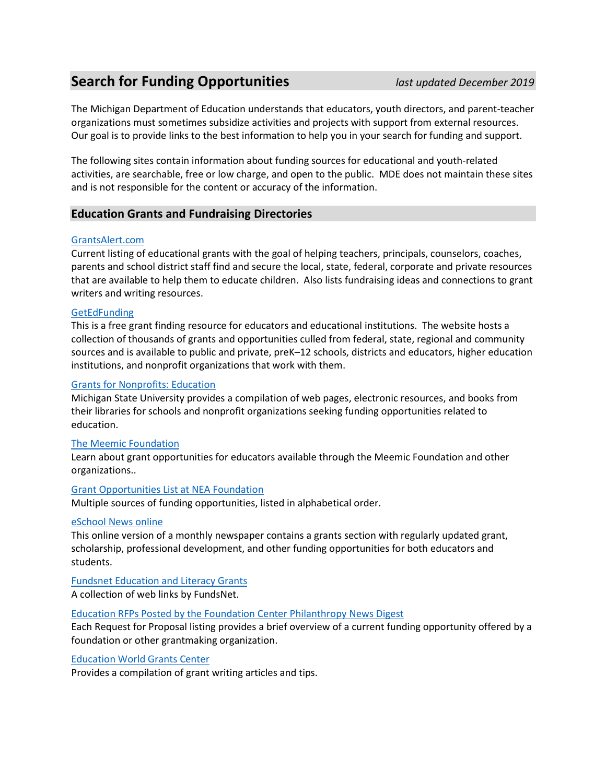# **Search for Funding Opportunities** *last updated December 2019*

The Michigan Department of Education understands that educators, youth directors, and parent-teacher organizations must sometimes subsidize activities and projects with support from external resources. Our goal is to provide links to the best information to help you in your search for funding and support.

The following sites contain information about funding sources for educational and youth-related activities, are searchable, free or low charge, and open to the public. MDE does not maintain these sites and is not responsible for the content or accuracy of the information.

## **Education Grants and Fundraising Directories**

## [GrantsAlert.com](http://www.grantsalert.com/grants)

Current listing of educational grants with the goal of helping teachers, principals, counselors, coaches, parents and school district staff find and secure the local, state, federal, corporate and private resources that are available to help them to educate children. Also lists fundraising ideas and connections to grant writers and writing resources.

## **[GetEdFunding](http://www.getedfunding.com/c/search.web?nocache@3+s@S4n1Vd1RkT79g)**

This is a free grant finding resource for educators and educational institutions. The website hosts a collection of thousands of grants and opportunities culled from federal, state, regional and community sources and is available to public and private, preK–12 schools, districts and educators, higher education institutions, and nonprofit organizations that work with them.

#### [Grants for Nonprofits: Education](http://staff.lib.msu.edu/harris23/grants/2educat.htm)

Michigan State University provides a compilation of web pages, electronic resources, and books from their libraries for schools and nonprofit organizations seeking funding opportunities related to education.

## [The Meemic Foundation](https://www.meemic.com/the-meemic-foundation/grant-opportunities.aspx)

Learn about grant opportunities for educators available through the Meemic Foundation and other organizations..

#### [Grant Opportunities List at NEA Foundation](http://www.neafoundation.org/pages/resources-other-grant-opportunities)

Multiple sources of funding opportunities, listed in alphabetical order.

#### [eSchool News online](http://www.eschoolnews.com/funding/)

This online version of a monthly newspaper contains a grants section with regularly updated grant, scholarship, professional development, and other funding opportunities for both educators and students.

[Fundsnet Education and Literacy Grants](http://www.fundsnetservices.com/searchresult/6/Education-&-Literacy-Grants.html)

A collection of web links by FundsNet.

#### [Education RFPs Posted by the Foundation Center Philanthropy News](http://philanthropynewsdigest.org/rfps?search=1&tags_interest%5B%5D=&tags_location%5B%5D=&search_text=school&btn=&days=0) Digest

Each Request for Proposal listing provides a brief overview of a current funding opportunity offered by a foundation or other grantmaking organization.

#### [Education World Grants Center](http://www.educationworld.com/a_admin/archives/grants.shtml)

Provides a compilation of grant writing articles and tips.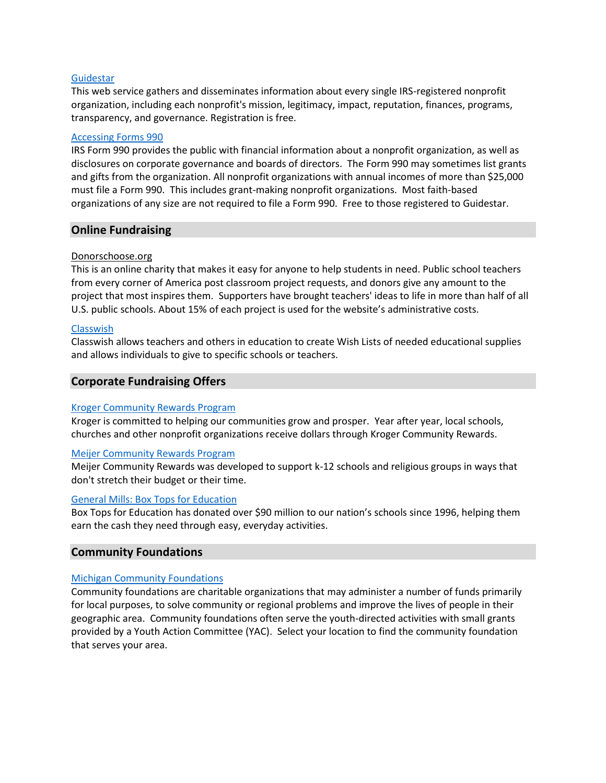#### **[Guidestar](http://www.guidestar.org/)**

This web service gathers and disseminates information about every single IRS-registered nonprofit organization, including each nonprofit's mission, legitimacy, impact, reputation, finances, programs, transparency, and governance. Registration is free.

#### [Accessing Forms 990](http://www.guidestar.org/rxa/news/articles/2005/accessing-forms-990.aspx)

IRS Form 990 provides the public with financial information about a nonprofit organization, as well as disclosures on corporate governance and boards of directors. The Form 990 may sometimes list grants and gifts from the organization. All nonprofit organizations with annual incomes of more than \$25,000 must file a Form 990. This includes grant-making nonprofit organizations. Most faith-based organizations of any size are not required to file a Form 990. Free to those registered to Guidestar.

## **Online Fundraising**

#### [Donorschoose.org](http://www.donorschoose.org/teachers)

This is an online charity that makes it easy for anyone to help students in need. Public school teachers from every corner of America post classroom project requests, and donors give any amount to the project that most inspires them. Supporters have brought teachers' ideas to life in more than half of all U.S. public schools. About 15% of each project is used for the website's administrative costs.

#### [Classwish](http://www.classwish.org/)

Classwish allows teachers and others in education to create Wish Lists of needed educational supplies and allows individuals to give to specific schools or teachers.

## **Corporate Fundraising Offers**

#### [Kroger Community Rewards Program](https://www.kroger.com/topic/kroger-community-rewards-3)

Kroger is committed to helping our communities grow and prosper. Year after year, local schools, churches and other nonprofit organizations receive dollars through Kroger Community Rewards.

#### [Meijer Community Rewards Program](http://meijercommunity.com/community-needs/education/)

Meijer Community Rewards was developed to support k-12 schools and religious groups in ways that don't stretch their budget or their time.

#### [General Mills: Box Tops for Education](http://www.boxtops4education.com/)

Box Tops for Education has donated over \$90 million to our nation's schools since 1996, helping them earn the cash they need through easy, everyday activities.

## **Community Foundations**

## [Michigan Community Foundations](https://www.michiganfoundations.org/grantseekers)

Community foundations are charitable organizations that may administer a number of funds primarily for local purposes, to solve community or regional problems and improve the lives of people in their geographic area. Community foundations often serve the youth-directed activities with small grants provided by a Youth Action Committee (YAC). Select your location to find the community foundation that serves your area.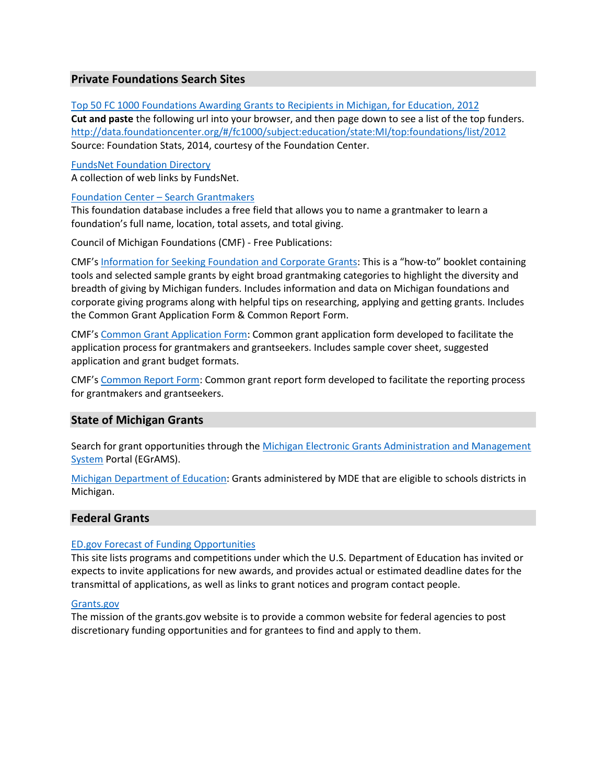## **Private Foundations Search Sites**

[Top 50 FC 1000 Foundations Awarding Grants to Recipients in Michigan, for Education, 2012](http://data.foundationcenter.org/#/fc1000/subject:education/state:MI/top:foundations/list/2012) **Cut and paste** the following url into your browser, and then page down to see a list of the top funders. <http://data.foundationcenter.org/#/fc1000/subject:education/state:MI/top:foundations/list/2012> Source: Foundation Stats, 2014, courtesy of the Foundation Center.

[FundsNet Foundation Directory](http://www.fundsnetservices.com/searchresult/92/Foundation-Directory-A.html) A collection of web links by FundsNet.

#### Foundation Center – [Search Grantmakers](https://fdo.foundationcenter.org/?_ga=1.257036811.1291033296.1421420404)

This foundation database includes a free field that allows you to name a grantmaker to learn a foundation's full name, location, total assets, and total giving.

Council of Michigan Foundations (CMF) - Free Publications:

CMF's [Information for Seeking Foundation and Corporate Grants](https://www.michiganfoundations.org/sites/default/files/resources/Information-for-Seeking-Foundation-and-Corporate-Grants.PDF): This is a "how-to" booklet containing tools and selected sample grants by eight broad grantmaking categories to highlight the diversity and breadth of giving by Michigan funders. Includes information and data on Michigan foundations and corporate giving programs along with helpful tips on researching, applying and getting grants. Includes the Common Grant Application Form & Common Report Form.

CMF's [Common Grant Application Form:](https://www.michiganfoundations.org/node/136) Common grant application form developed to facilitate the application process for grantmakers and grantseekers. Includes sample cover sheet, suggested application and grant budget formats.

CMF's [Common Report Form:](https://www.michiganfoundations.org/node/137) Common grant report form developed to facilitate the reporting process for grantmakers and grantseekers.

## **State of Michigan Grants**

Search for grant opportunities through the [Michigan Electronic Grants Administration and Management](https://egrams-mi.com/portal/user/SearchResults.aspx)  [System](https://egrams-mi.com/portal/user/SearchResults.aspx) Portal (EGrAMS).

[Michigan Department of Education:](http://www.michigan.gov/mde/0,4615,7-140-5236---,00.html) Grants administered by MDE that are eligible to schools districts in Michigan.

## **Federal Grants**

## [ED.gov Forecast of Funding Opportunities](http://www2.ed.gov/fund/grant/find/edlite-forecast.html)

This site lists programs and competitions under which the U.S. Department of Education has invited or expects to invite applications for new awards, and provides actual or estimated deadline dates for the transmittal of applications, as well as links to grant notices and program contact people.

#### [Grants.gov](http://www.grants.gov/web/grants/search-grants.html)

The mission of the grants.gov website is to provide a common website for federal agencies to post discretionary funding opportunities and for grantees to find and apply to them.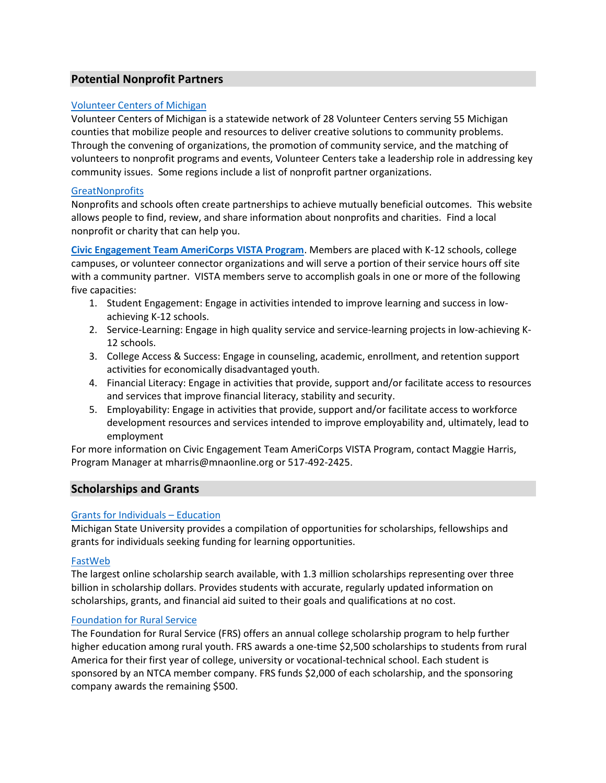## **Potential Nonprofit Partners**

## [Volunteer Centers of Michigan](https://mnaonline.org/vcm-member-list)

Volunteer Centers of Michigan is a statewide network of 28 Volunteer Centers serving 55 Michigan counties that mobilize people and resources to deliver creative solutions to community problems. Through the convening of organizations, the promotion of community service, and the matching of volunteers to nonprofit programs and events, Volunteer Centers take a leadership role in addressing key community issues. Some regions include a list of nonprofit partner organizations.

## **[GreatNonprofits](http://greatnonprofits.org/categories/view/children-and-youth)**

Nonprofits and schools often create partnerships to achieve mutually beneficial outcomes. This website allows people to find, review, and share information about nonprofits and charities. Find a local nonprofit or charity that can help you.

**[Civic Engagement Team AmeriCorps VISTA Program](https://mnaonline.org/civic-engagement)**. Members are placed with K-12 schools, college campuses, or volunteer connector organizations and will serve a portion of their service hours off site with a community partner. VISTA members serve to accomplish goals in one or more of the following five capacities:

- 1. Student Engagement: Engage in activities intended to improve learning and success in lowachieving K-12 schools.
- 2. Service-Learning: Engage in high quality service and service-learning projects in low-achieving K-12 schools.
- 3. College Access & Success: Engage in counseling, academic, enrollment, and retention support activities for economically disadvantaged youth.
- 4. Financial Literacy: Engage in activities that provide, support and/or facilitate access to resources and services that improve financial literacy, stability and security.
- 5. Employability: Engage in activities that provide, support and/or facilitate access to workforce development resources and services intended to improve employability and, ultimately, lead to employment

For more information on Civic Engagement Team AmeriCorps VISTA Program, contact Maggie Harris, Program Manager at mharris@mnaonline.org or 517-492-2425.

## **Scholarships and Grants**

## [Grants for Individuals](http://staff.lib.msu.edu/harris23/grants/3educate.htm) – Education

Michigan State University provides a compilation of opportunities for scholarships, fellowships and grants for individuals seeking funding for learning opportunities.

## [FastWeb](http://www.fastweb.com/)

The largest online scholarship search available, with 1.3 million scholarships representing over three billion in scholarship dollars. Provides students with accurate, regularly updated information on scholarships, grants, and financial aid suited to their goals and qualifications at no cost.

#### [Foundation for Rural Service](https://www.frs.org/youth-programs/college-scholarship-program)

The Foundation for Rural Service (FRS) offers an annual college scholarship program to help further higher education among rural youth. FRS awards a one-time \$2,500 scholarships to students from rural America for their first year of college, university or vocational-technical school. Each student is sponsored by an NTCA member company. FRS funds \$2,000 of each scholarship, and the sponsoring company awards the remaining \$500.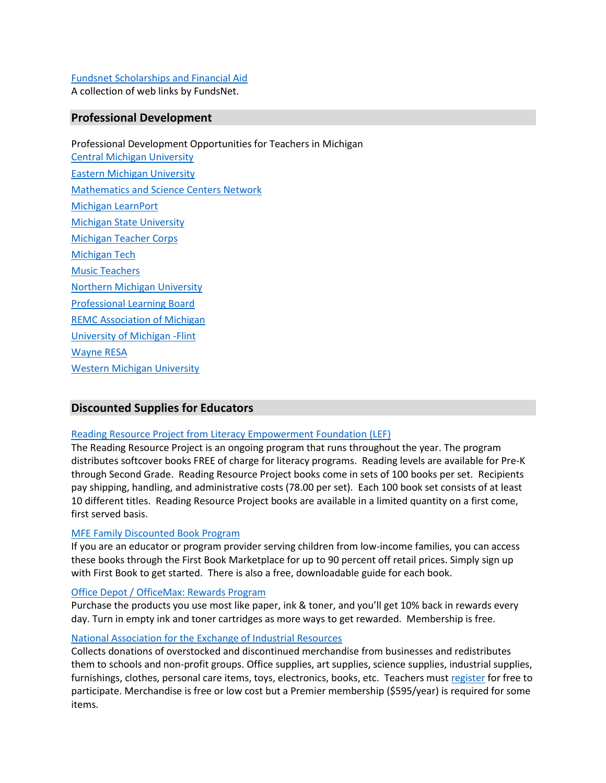## [Fundsnet Scholarships and Financial Aid](http://www.fundsnetservices.com/searchresult/24/Scholarships-Financial-Aid.html)

A collection of web links by FundsNet.

## **Professional Development**

Professional Development Opportunities for Teachers in Michigan Central [Michigan University](http://global.cmich.edu/profdev/) [Eastern Michigan University](http://www.emich.edu/english/wac/professionaldevelopment.php) [Mathematics and Science Centers Network](http://www.mimathandscience.org/math/professionaldevelopment/) [Michigan LearnPort](http://www.learnport.org/) [Michigan State University](http://education.msu.edu/outreach/schools/) [Michigan Teacher Corps](http://michiganteachercorps.org/certified-teachers/professional-development) [Michigan Tech](http://www.mtu.edu/cls/education/development/) [Music Teachers](http://www.mmeamichigan.org/Professional-Development) [Northern Michigan University](http://www.nmu.edu/seaborg/node/19) [Professional Learning Board](https://k12teacherstaffdevelopment.com/tlb/select-your-state-below-to-get-started/michigan/) [REMC Association of Michigan](http://www.remc.org/) [University of Michigan -Flint](http://www.umflint.edu/oel/professional-development-k-12) [Wayne RESA](http://www.resa.net/development/) [Western Michigan University](https://wmich.edu/professional)

## **Discounted Supplies for Educators**

## [Reading Resource Project from Literacy Empowerment Foundation \(LEF\)](http://www.lefbooks.org/reading_resource_project/)

The Reading Resource Project is an ongoing program that runs throughout the year. The program distributes softcover books FREE of charge for literacy programs. Reading levels are available for Pre-K through Second Grade. Reading Resource Project books come in sets of 100 books per set. Recipients pay shipping, handling, and administrative costs (78.00 per set). Each 100 book set consists of at least 10 different titles. Reading Resource Project books are available in a limited quantity on a first come, first served basis.

## [MFE Family Discounted Book Program](http://www.parentfurther.com/content/build-strong-families-stories)

If you are an educator or program provider serving children from low-income families, you can access these books through the First Book Marketplace for up to 90 percent off retail prices. Simply sign up with First Book to get started. There is also a free, downloadable guide for each book.

#### [Office Depot / OfficeMax: Rewards Program](https://www.officedepot.com/a/loyalty-programs/office-depot-rewards/)

Purchase the products you use most like paper, ink & toner, and you'll get 10% back in rewards every day. Turn in empty ink and toner cartridges as more ways to get rewarded. Membership is free.

## [National Association for the Exchange of Industrial Resources](http://www.naeir.org/)

Collects donations of overstocked and discontinued merchandise from businesses and redistributes them to schools and non-profit groups. Office supplies, art supplies, science supplies, industrial supplies, furnishings, clothes, personal care items, toys, electronics, books, etc. Teachers must [register](https://catalog.naeir.org/Member/TeacherApplication) for free to participate. Merchandise is free or low cost but a Premier membership (\$595/year) is required for some items.